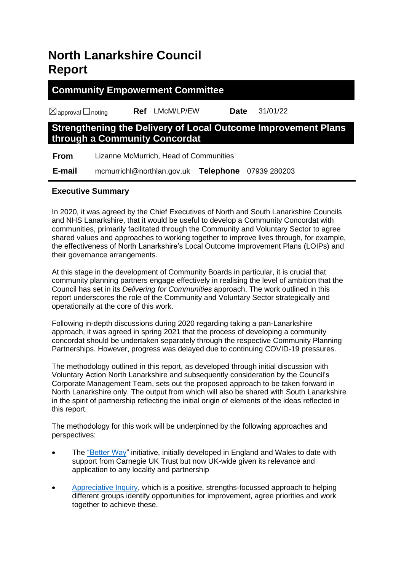# **North Lanarkshire Council Report**

# **Community Empowerment Committee**

☒approval ☐noting **Ref** LMcM/LP/EW **Date** 31/01/22

# **Strengthening the Delivery of Local Outcome Improvement Plans through a Community Concordat**

 **From** Lizanne McMurrich, Head of Communities

 **E-mail** mcmurrichl@northlan.gov.uk **Telephone** 07939 280203

# **Executive Summary**

In 2020, it was agreed by the Chief Executives of North and South Lanarkshire Councils and NHS Lanarkshire, that it would be useful to develop a Community Concordat with communities, primarily facilitated through the Community and Voluntary Sector to agree shared values and approaches to working together to improve lives through, for example, the effectiveness of North Lanarkshire's Local Outcome Improvement Plans (LOIPs) and their governance arrangements.

At this stage in the development of Community Boards in particular, it is crucial that community planning partners engage effectively in realising the level of ambition that the Council has set in its *Delivering for Communities* approach. The work outlined in this report underscores the role of the Community and Voluntary Sector strategically and operationally at the core of this work.

Following in-depth discussions during 2020 regarding taking a pan-Lanarkshire approach, it was agreed in spring 2021 that the process of developing a community concordat should be undertaken separately through the respective Community Planning Partnerships. However, progress was delayed due to continuing COVID-19 pressures.

The methodology outlined in this report, as developed through initial discussion with Voluntary Action North Lanarkshire and subsequently consideration by the Council's Corporate Management Team, sets out the proposed approach to be taken forward in North Lanarkshire only. The output from which will also be shared with South Lanarkshire in the spirit of partnership reflecting the initial origin of elements of the ideas reflected in this report.

The methodology for this work will be underpinned by the following approaches and perspectives:

- The ["Better Way"](https://www.betterway.network/) initiative, initially developed in England and Wales to date with support from Carnegie UK Trust but now UK-wide given its relevance and application to any locality and partnership
- [Appreciative Inquiry,](https://appreciativeinquiry.champlain.edu/learn/appreciative-inquiry-introduction/) which is a positive, strengths-focussed approach to helping different groups identify opportunities for improvement, agree priorities and work together to achieve these.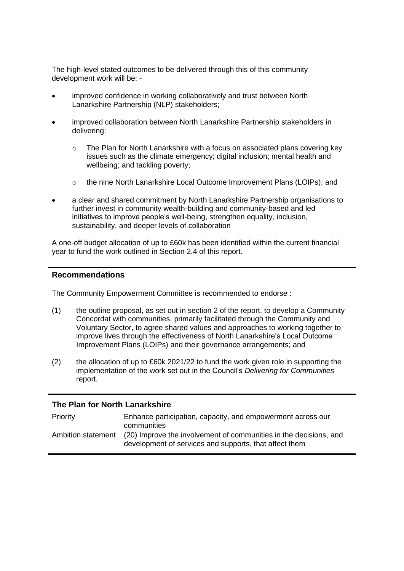The high-level stated outcomes to be delivered through this of this community development work will be: -

- improved confidence in working collaboratively and trust between North Lanarkshire Partnership (NLP) stakeholders;
- improved collaboration between North Lanarkshire Partnership stakeholders in delivering:
	- $\circ$  The Plan for North Lanarkshire with a focus on associated plans covering key issues such as the climate emergency; digital inclusion; mental health and wellbeing; and tackling poverty;
	- o the nine North Lanarkshire Local Outcome Improvement Plans (LOIPs); and
- a clear and shared commitment by North Lanarkshire Partnership organisations to further invest in community wealth-building and community-based and led initiatives to improve people's well-being, strengthen equality, inclusion, sustainability, and deeper levels of collaboration

A one-off budget allocation of up to £60k has been identified within the current financial year to fund the work outlined in Section 2.4 of this report.

#### **Recommendations**

The Community Empowerment Committee is recommended to endorse :

- (1) the outline proposal, as set out in section 2 of the report, to develop a Community Concordat with communities, primarily facilitated through the Community and Voluntary Sector, to agree shared values and approaches to working together to improve lives through the effectiveness of North Lanarkshire's Local Outcome Improvement Plans (LOIPs) and their governance arrangements; and
- (2) the allocation of up to  $£60k 2021/22$  to fund the work given role in supporting the implementation of the work set out in the Council's *Delivering for Communities* report*.*

### **The Plan for North Lanarkshire**

| Priority           | Enhance participation, capacity, and empowerment across our<br>communities                                                  |
|--------------------|-----------------------------------------------------------------------------------------------------------------------------|
| Ambition statement | (20) Improve the involvement of communities in the decisions, and<br>development of services and supports, that affect them |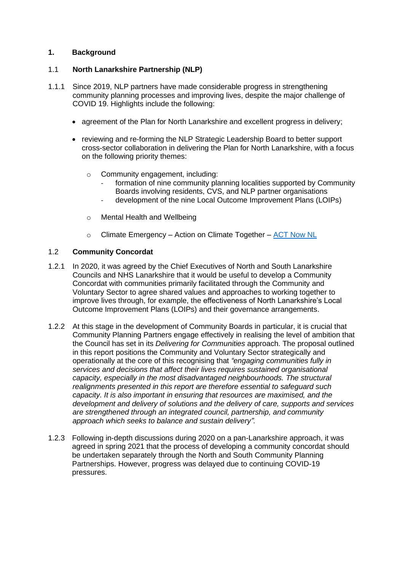### **1. Background**

### 1.1 **North Lanarkshire Partnership (NLP)**

- 1.1.1 Since 2019, NLP partners have made considerable progress in strengthening community planning processes and improving lives, despite the major challenge of COVID 19. Highlights include the following:
	- agreement of the Plan for North Lanarkshire and excellent progress in delivery;
	- reviewing and re-forming the NLP Strategic Leadership Board to better support cross-sector collaboration in delivering the Plan for North Lanarkshire, with a focus on the following priority themes:
		- o Community engagement, including:
			- formation of nine community planning localities supported by Community Boards involving residents, CVS, and NLP partner organisations
			- development of the nine Local Outcome Improvement Plans (LOIPs)
		- o Mental Health and Wellbeing
		- o Climate Emergency Action on Climate Together [ACT Now NL](https://www.actnownl.org.uk/)

### 1.2 **Community Concordat**

- 1.2.1 In 2020, it was agreed by the Chief Executives of North and South Lanarkshire Councils and NHS Lanarkshire that it would be useful to develop a Community Concordat with communities primarily facilitated through the Community and Voluntary Sector to agree shared values and approaches to working together to improve lives through, for example, the effectiveness of North Lanarkshire's Local Outcome Improvement Plans (LOIPs) and their governance arrangements.
- 1.2.2 At this stage in the development of Community Boards in particular, it is crucial that Community Planning Partners engage effectively in realising the level of ambition that the Council has set in its *Delivering for Communities* approach. The proposal outlined in this report positions the Community and Voluntary Sector strategically and operationally at the core of this recognising that *"engaging communities fully in services and decisions that affect their lives requires sustained organisational capacity, especially in the most disadvantaged neighbourhoods. The structural realignments presented in this report are therefore essential to safeguard such capacity. It is also important in ensuring that resources are maximised, and the development and delivery of solutions and the delivery of care, supports and services are strengthened through an integrated council, partnership, and community approach which seeks to balance and sustain delivery".*
- 1.2.3 Following in-depth discussions during 2020 on a pan-Lanarkshire approach, it was agreed in spring 2021 that the process of developing a community concordat should be undertaken separately through the North and South Community Planning Partnerships. However, progress was delayed due to continuing COVID-19 pressures.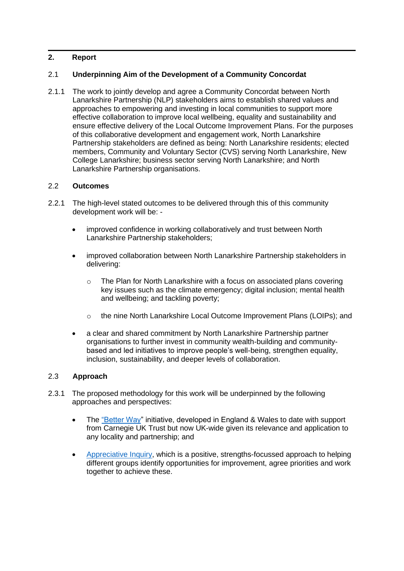## **2. Report**

### 2.1 **Underpinning Aim of the Development of a Community Concordat**

2.1.1 The work to jointly develop and agree a Community Concordat between North Lanarkshire Partnership (NLP) stakeholders aims to establish shared values and approaches to empowering and investing in local communities to support more effective collaboration to improve local wellbeing, equality and sustainability and ensure effective delivery of the Local Outcome Improvement Plans. For the purposes of this collaborative development and engagement work, North Lanarkshire Partnership stakeholders are defined as being: North Lanarkshire residents; elected members, Community and Voluntary Sector (CVS) serving North Lanarkshire, New College Lanarkshire; business sector serving North Lanarkshire; and North Lanarkshire Partnership organisations.

### 2.2 **Outcomes**

- 2.2.1 The high-level stated outcomes to be delivered through this of this community development work will be: -
	- improved confidence in working collaboratively and trust between North Lanarkshire Partnership stakeholders;
	- improved collaboration between North Lanarkshire Partnership stakeholders in delivering:
		- $\circ$  The Plan for North Lanarkshire with a focus on associated plans covering key issues such as the climate emergency; digital inclusion; mental health and wellbeing; and tackling poverty;
		- o the nine North Lanarkshire Local Outcome Improvement Plans (LOIPs); and
	- a clear and shared commitment by North Lanarkshire Partnership partner organisations to further invest in community wealth-building and communitybased and led initiatives to improve people's well-being, strengthen equality, inclusion, sustainability, and deeper levels of collaboration.

### 2.3 **Approach**

- 2.3.1 The proposed methodology for this work will be underpinned by the following approaches and perspectives:
	- The ["Better Way"](https://www.betterway.network/) initiative, developed in England & Wales to date with support from Carnegie UK Trust but now UK-wide given its relevance and application to any locality and partnership; and
	- [Appreciative Inquiry,](https://appreciativeinquiry.champlain.edu/learn/appreciative-inquiry-introduction/) which is a positive, strengths-focussed approach to helping different groups identify opportunities for improvement, agree priorities and work together to achieve these.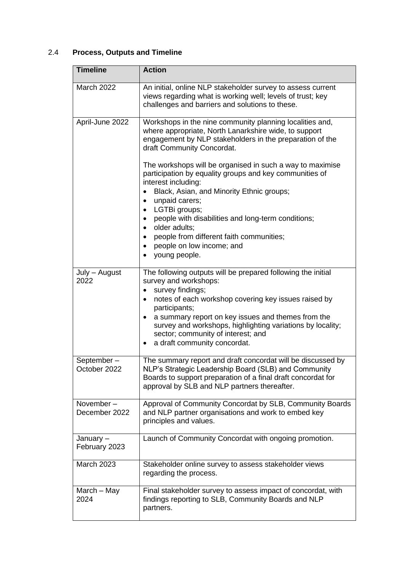# 2.4 **Process, Outputs and Timeline**

| <b>Timeline</b>            | <b>Action</b>                                                                                                                                                                                                                       |
|----------------------------|-------------------------------------------------------------------------------------------------------------------------------------------------------------------------------------------------------------------------------------|
| <b>March 2022</b>          | An initial, online NLP stakeholder survey to assess current<br>views regarding what is working well; levels of trust; key<br>challenges and barriers and solutions to these.                                                        |
| April-June 2022            | Workshops in the nine community planning localities and,<br>where appropriate, North Lanarkshire wide, to support<br>engagement by NLP stakeholders in the preparation of the<br>draft Community Concordat.                         |
|                            | The workshops will be organised in such a way to maximise<br>participation by equality groups and key communities of<br>interest including:<br>Black, Asian, and Minority Ethnic groups;                                            |
|                            | unpaid carers;<br>LGTBi groups;<br>$\bullet$                                                                                                                                                                                        |
|                            | people with disabilities and long-term conditions;<br>older adults:<br>$\bullet$                                                                                                                                                    |
|                            | people from different faith communities;<br>$\bullet$                                                                                                                                                                               |
|                            | people on low income; and<br>young people.                                                                                                                                                                                          |
| July - August<br>2022      | The following outputs will be prepared following the initial<br>survey and workshops:<br>survey findings;                                                                                                                           |
|                            | notes of each workshop covering key issues raised by<br>participants;                                                                                                                                                               |
|                            | a summary report on key issues and themes from the<br>٠<br>survey and workshops, highlighting variations by locality;<br>sector; community of interest; and<br>a draft community concordat.<br>٠                                    |
| September-<br>October 2022 | The summary report and draft concordat will be discussed by<br>NLP's Strategic Leadership Board (SLB) and Community<br>Boards to support preparation of a final draft concordat for<br>approval by SLB and NLP partners thereafter. |
| November-<br>December 2022 | Approval of Community Concordat by SLB, Community Boards<br>and NLP partner organisations and work to embed key<br>principles and values.                                                                                           |
| January-<br>February 2023  | Launch of Community Concordat with ongoing promotion.                                                                                                                                                                               |
| <b>March 2023</b>          | Stakeholder online survey to assess stakeholder views<br>regarding the process.                                                                                                                                                     |
| March - May<br>2024        | Final stakeholder survey to assess impact of concordat, with<br>findings reporting to SLB, Community Boards and NLP<br>partners.                                                                                                    |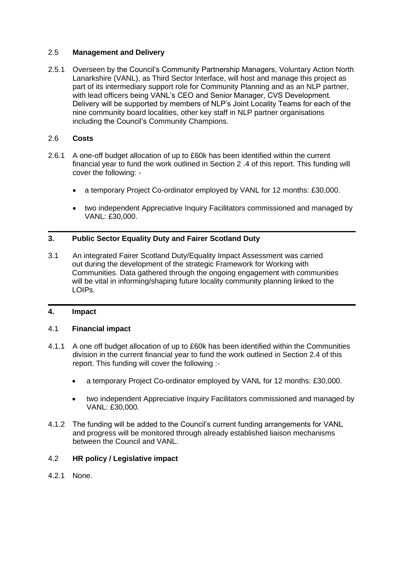### 2.5 **Management and Delivery**

2.5.1 Overseen by the Council's Community Partnership Managers, Voluntary Action North Lanarkshire (VANL), as Third Sector Interface, will host and manage this project as part of its intermediary support role for Community Planning and as an NLP partner, with lead officers being VANL's CEO and Senior Manager, CVS Development. Delivery will be supported by members of NLP's Joint Locality Teams for each of the nine community board localities, other key staff in NLP partner organisations including the Council's Community Champions.

### 2.6 **Costs**

- 2.6.1 A one-off budget allocation of up to £60k has been identified within the current financial year to fund the work outlined in Section 2 .4 of this report. This funding will cover the following: -
	- a temporary Project Co-ordinator employed by VANL for 12 months: £30,000.
	- two independent Appreciative Inquiry Facilitators commissioned and managed by VANL: £30,000.

### **3. Public Sector Equality Duty and Fairer Scotland Duty**

3.1 An integrated Fairer Scotland Duty/Equality Impact Assessment was carried out during the development of the strategic Framework for Working with Communities. Data gathered through the ongoing engagement with communities will be vital in informing/shaping future locality community planning linked to the LOIPs.

## **4. Impact**

### 4.1 **Financial impact**

- 4.1.1 A one off budget allocation of up to £60k has been identified within the Communities division in the current financial year to fund the work outlined in Section 2.4 of this report. This funding will cover the following :-
	- a temporary Project Co-ordinator employed by VANL for 12 months: £30,000.
	- two independent Appreciative Inquiry Facilitators commissioned and managed by VANL: £30,000.
- 4.1.2 The funding will be added to the Council's current funding arrangements for VANL and progress will be monitored through already established liaison mechanisms between the Council and VANL.

### 4.2 **HR policy / Legislative impact**

4.2.1 None.